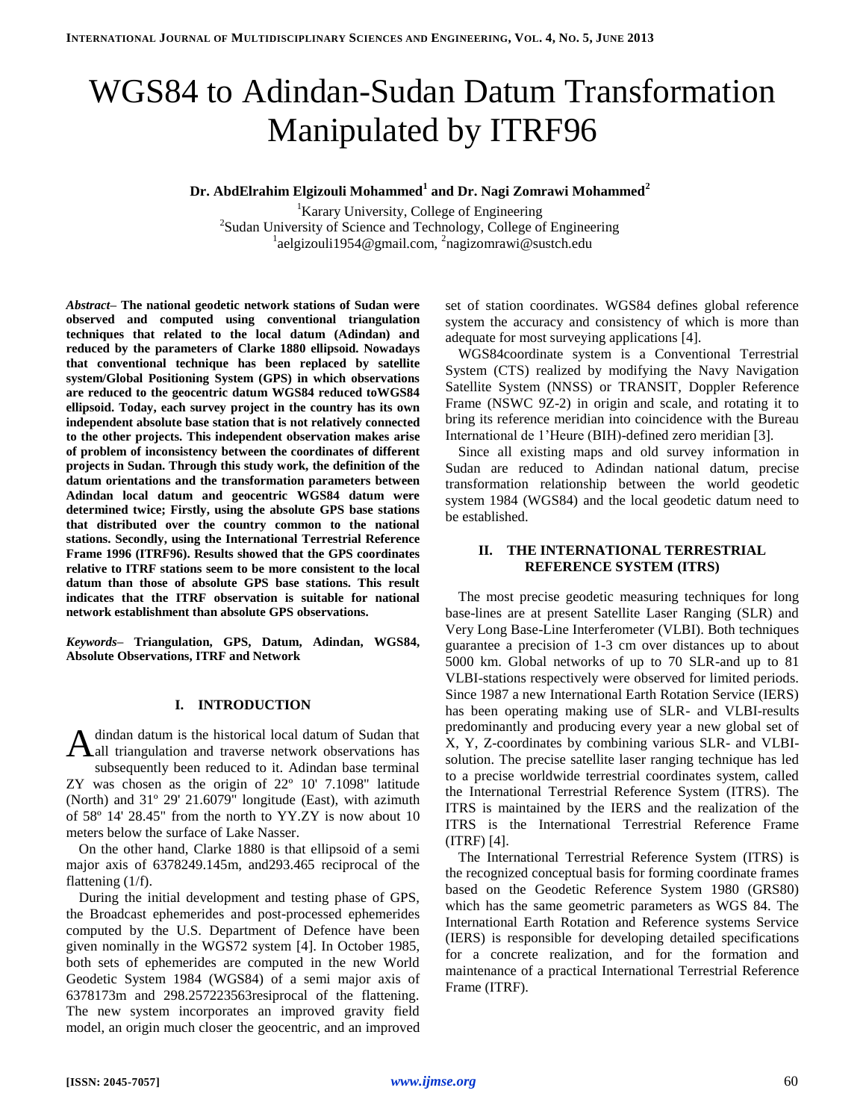# WGS84 to Adindan-Sudan Datum Transformation Manipulated by ITRF96

# **Dr. AbdElrahim Elgizouli Mohammed<sup>1</sup> and Dr. Nagi Zomrawi Mohammed<sup>2</sup>**

<sup>1</sup>Karary University, College of Engineering 2 Sudan University of Science and Technology, College of Engineering <sup>1</sup>aelgizouli1954@gmail.com, <sup>2</sup>nagizomrawi@sustch.edu

*Abstract–* **The national geodetic network stations of Sudan were observed and computed using conventional triangulation techniques that related to the local datum (Adindan) and reduced by the parameters of Clarke 1880 ellipsoid. Nowadays that conventional technique has been replaced by satellite system/Global Positioning System (GPS) in which observations are reduced to the geocentric datum WGS84 reduced toWGS84 ellipsoid. Today, each survey project in the country has its own independent absolute base station that is not relatively connected to the other projects. This independent observation makes arise of problem of inconsistency between the coordinates of different projects in Sudan. Through this study work, the definition of the datum orientations and the transformation parameters between Adindan local datum and geocentric WGS84 datum were determined twice; Firstly, using the absolute GPS base stations that distributed over the country common to the national stations. Secondly, using the International Terrestrial Reference Frame 1996 (ITRF96). Results showed that the GPS coordinates relative to ITRF stations seem to be more consistent to the local datum than those of absolute GPS base stations. This result indicates that the ITRF observation is suitable for national network establishment than absolute GPS observations.** 

*Keywords–* **Triangulation, GPS, Datum, Adindan, WGS84, Absolute Observations, ITRF and Network**

#### **I. INTRODUCTION**

dindan datum is the historical local datum of Sudan that A dindan datum is the historical local datum of Sudan that<br>All triangulation and traverse network observations has subsequently been reduced to it. Adindan base terminal ZY was chosen as the origin of 22º 10' 7.1098" latitude (North) and 31º 29' 21.6079" longitude (East), with azimuth of 58º 14' 28.45" from the north to YY.ZY is now about 10 meters below the surface of Lake Nasser.

On the other hand, Clarke 1880 is that ellipsoid of a semi major axis of 6378249.145m, and293.465 reciprocal of the flattening (1/f).

During the initial development and testing phase of GPS, the Broadcast ephemerides and post-processed ephemerides computed by the U.S. Department of Defence have been given nominally in the WGS72 system [4]. In October 1985, both sets of ephemerides are computed in the new World Geodetic System 1984 (WGS84) of a semi major axis of 6378173m and 298.257223563resiprocal of the flattening. The new system incorporates an improved gravity field model, an origin much closer the geocentric, and an improved

set of station coordinates. WGS84 defines global reference system the accuracy and consistency of which is more than adequate for most surveying applications [4].

WGS84coordinate system is a Conventional Terrestrial System (CTS) realized by modifying the Navy Navigation Satellite System (NNSS) or TRANSIT, Doppler Reference Frame (NSWC 9Z-2) in origin and scale, and rotating it to bring its reference meridian into coincidence with the Bureau International de 1'Heure (BIH)-defined zero meridian [3].

Since all existing maps and old survey information in Sudan are reduced to Adindan national datum, precise transformation relationship between the world geodetic system 1984 (WGS84) and the local geodetic datum need to be established.

#### **II. THE INTERNATIONAL TERRESTRIAL REFERENCE SYSTEM (ITRS)**

The most precise geodetic measuring techniques for long base-lines are at present Satellite Laser Ranging (SLR) and Very Long Base-Line Interferometer (VLBI). Both techniques guarantee a precision of 1-3 cm over distances up to about 5000 km. Global networks of up to 70 SLR-and up to 81 VLBI-stations respectively were observed for limited periods. Since 1987 a new International Earth Rotation Service (IERS) has been operating making use of SLR- and VLBI-results predominantly and producing every year a new global set of X, Y, Z-coordinates by combining various SLR- and VLBIsolution. The precise satellite laser ranging technique has led to a precise worldwide terrestrial coordinates system, called the International Terrestrial Reference System (ITRS). The ITRS is maintained by the IERS and the realization of the ITRS is the International Terrestrial Reference Frame (ITRF) [4].

The International Terrestrial Reference System (ITRS) is the recognized conceptual basis for forming coordinate frames based on the Geodetic Reference System 1980 (GRS80) which has the same geometric parameters as WGS 84. The International Earth Rotation and Reference systems Service (IERS) is responsible for developing detailed specifications for a concrete realization, and for the formation and maintenance of a practical International Terrestrial Reference Frame (ITRF).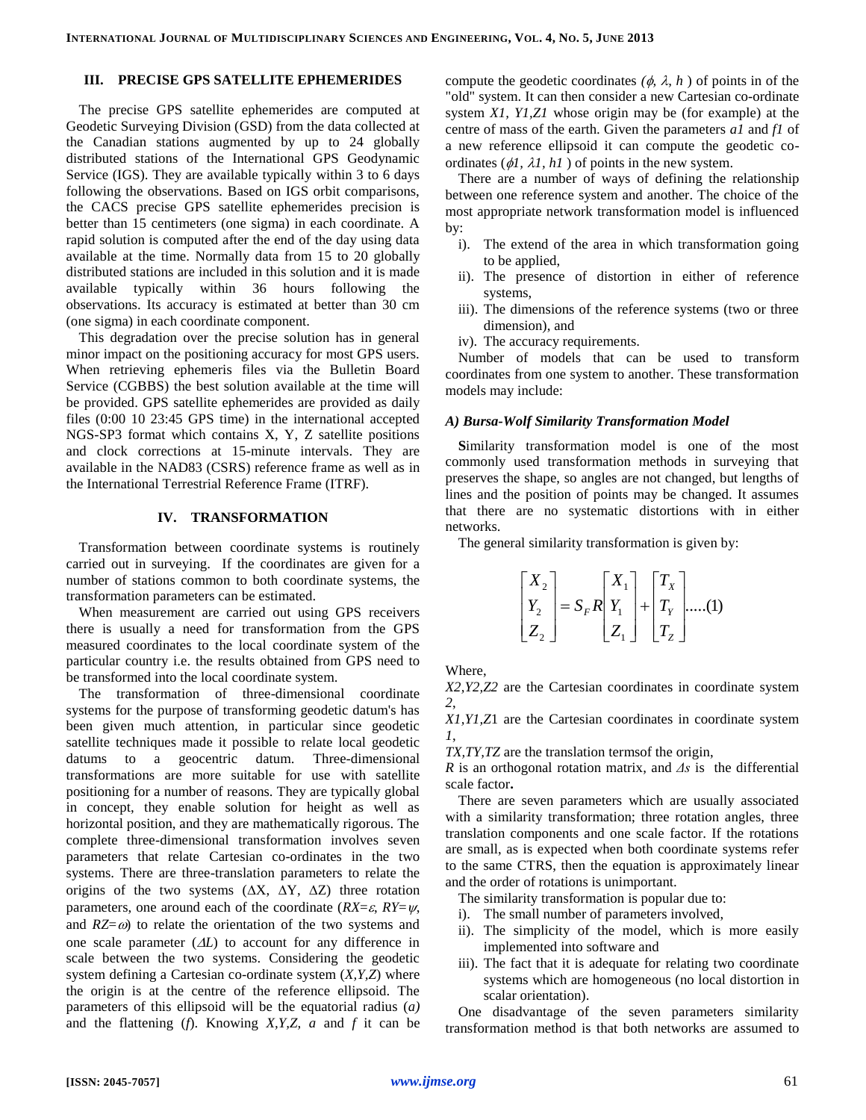# **III. PRECISE GPS SATELLITE EPHEMERIDES**

The precise GPS satellite ephemerides are computed at Geodetic Surveying Division (GSD) from the data collected at the Canadian stations augmented by up to 24 globally distributed stations of the International GPS Geodynamic Service (IGS). They are available typically within 3 to 6 days following the observations. Based on IGS orbit comparisons, the CACS precise GPS satellite ephemerides precision is better than 15 centimeters (one sigma) in each coordinate. A rapid solution is computed after the end of the day using data available at the time. Normally data from 15 to 20 globally distributed stations are included in this solution and it is made available typically within 36 hours following the observations. Its accuracy is estimated at better than 30 cm (one sigma) in each coordinate component.

This degradation over the precise solution has in general minor impact on the positioning accuracy for most GPS users. When retrieving ephemeris files via the Bulletin Board Service (CGBBS) the best solution available at the time will be provided. GPS satellite ephemerides are provided as daily files (0:00 10 23:45 GPS time) in the international accepted NGS-SP3 format which contains X, Y, Z satellite positions and clock corrections at 15-minute intervals. They are available in the NAD83 (CSRS) reference frame as well as in the International Terrestrial Reference Frame (ITRF).

#### **IV. TRANSFORMATION**

Transformation between coordinate systems is routinely carried out in surveying. If the coordinates are given for a number of stations common to both coordinate systems, the transformation parameters can be estimated.

When measurement are carried out using GPS receivers there is usually a need for transformation from the GPS measured coordinates to the local coordinate system of the particular country i.e. the results obtained from GPS need to be transformed into the local coordinate system.

The transformation of three-dimensional coordinate systems for the purpose of transforming geodetic datum's has been given much attention, in particular since geodetic satellite techniques made it possible to relate local geodetic datums to a geocentric datum. Three-dimensional transformations are more suitable for use with satellite positioning for a number of reasons. They are typically global in concept, they enable solution for height as well as horizontal position, and they are mathematically rigorous. The complete three-dimensional transformation involves seven parameters that relate Cartesian co-ordinates in the two systems. There are three-translation parameters to relate the origins of the two systems  $(\Delta X, \Delta Y, \Delta Z)$  three rotation parameters, one around each of the coordinate ( $RX = \varepsilon$ ,  $RY = \psi$ , and  $RZ=\omega$ ) to relate the orientation of the two systems and one scale parameter  $(\Delta L)$  to account for any difference in scale between the two systems. Considering the geodetic system defining a Cartesian co-ordinate system (*X,Y,Z*) where the origin is at the centre of the reference ellipsoid. The parameters of this ellipsoid will be the equatorial radius (*a)* and the flattening (*f*). Knowing *X,Y,Z, a* and *f* it can be

compute the geodetic coordinates  $(\phi, \lambda, h)$  of points in of the "old" system. It can then consider a new Cartesian co-ordinate system *X1, Y1,Z1* whose origin may be (for example) at the centre of mass of the earth. Given the parameters *a1* and *f1* of a new reference ellipsoid it can compute the geodetic coordinates  $(\phi l, \lambda l, hl)$  of points in the new system.

There are a number of ways of defining the relationship between one reference system and another. The choice of the most appropriate network transformation model is influenced by:

- i). The extend of the area in which transformation going to be applied,
- ii). The presence of distortion in either of reference systems,
- iii). The dimensions of the reference systems (two or three dimension), and
- iv). The accuracy requirements.

Number of models that can be used to transform coordinates from one system to another. These transformation models may include:

#### *A) Bursa-Wolf Similarity Transformation Model*

**S**imilarity transformation model is one of the most commonly used transformation methods in surveying that preserves the shape, so angles are not changed, but lengths of lines and the position of points may be changed. It assumes that there are no systematic distortions with in either networks.

The general similarity transformation is given by:

$$
\begin{bmatrix} X_2 \\ Y_2 \\ Z_2 \end{bmatrix} = S_F R \begin{bmatrix} X_1 \\ Y_1 \\ Z_1 \end{bmatrix} + \begin{bmatrix} T_X \\ T_Y \\ T_Z \end{bmatrix} \dots (1)
$$

Where,

*X2,Y2,Z2* are the Cartesian coordinates in coordinate system *2*,

*X1,Y1,Z*1 are the Cartesian coordinates in coordinate system *1*,

*TX,TY,TZ* are the translation termsof the origin,

*R* is an orthogonal rotation matrix, and *Δs* is the differential scale factor**.**

There are seven parameters which are usually associated with a similarity transformation; three rotation angles, three translation components and one scale factor. If the rotations are small, as is expected when both coordinate systems refer to the same CTRS, then the equation is approximately linear and the order of rotations is unimportant.

The similarity transformation is popular due to:

- i). The small number of parameters involved,
- ii). The simplicity of the model, which is more easily implemented into software and
- iii). The fact that it is adequate for relating two coordinate systems which are homogeneous (no local distortion in scalar orientation).

One disadvantage of the seven parameters similarity transformation method is that both networks are assumed to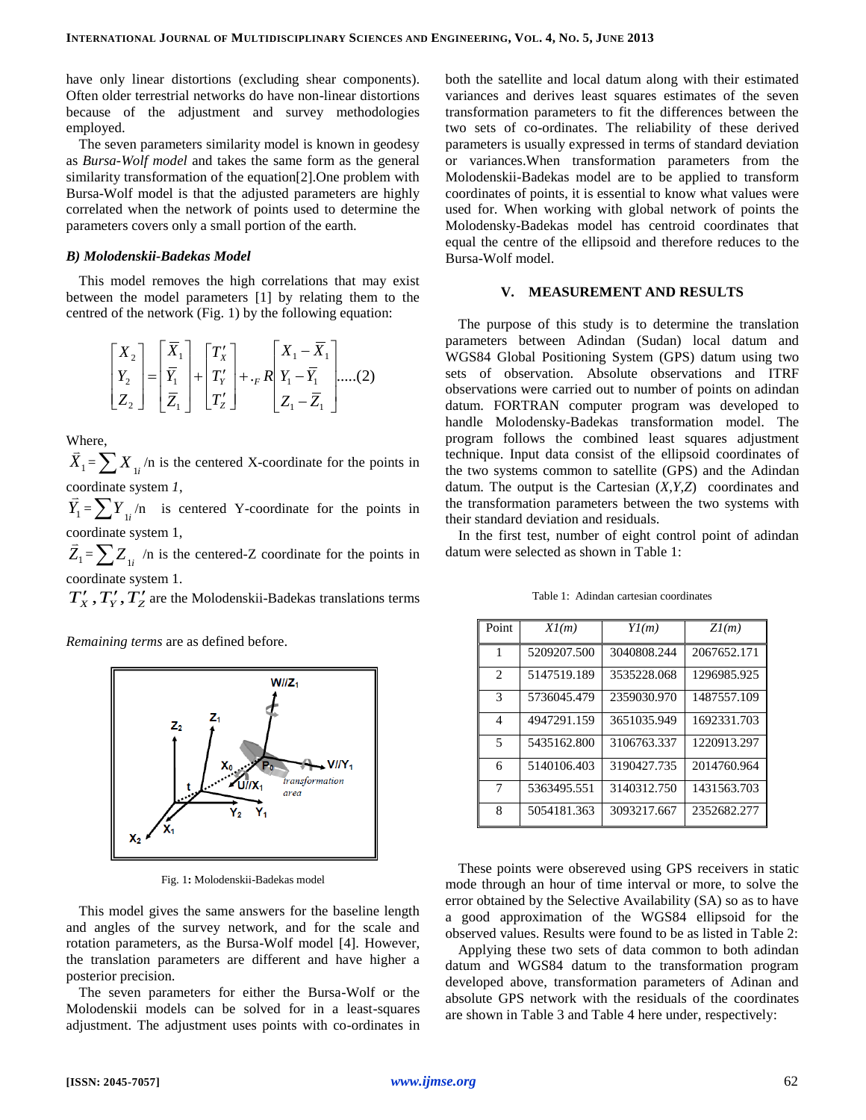have only linear distortions (excluding shear components). Often older terrestrial networks do have non-linear distortions because of the adjustment and survey methodologies employed.

The seven parameters similarity model is known in geodesy as *Bursa-Wolf model* and takes the same form as the general similarity transformation of the equation[2].One problem with Bursa-Wolf model is that the adjusted parameters are highly correlated when the network of points used to determine the parameters covers only a small portion of the earth.

#### *B) Molodenskii-Badekas Model*

This model removes the high correlations that may exist between the model parameters [1] by relating them to the centred of the network (Fig. 1) by the following equation:

$$
\begin{bmatrix} X_2 \\ Y_2 \\ Z_2 \end{bmatrix} = \begin{bmatrix} \overline{X}_1 \\ \overline{Y}_1 \\ \overline{Z}_1 \end{bmatrix} + \begin{bmatrix} T'_X \\ T'_Y \\ T'_Z \end{bmatrix} + \binom{\overline{X}_1 - \overline{X}_1}{\overline{X}_1 - \overline{X}_1} \dots (2)
$$

Where,  $\frac{v}{1}$ 

*X*1  $=\sum X_{1i}$ /n is the centered X-coordinate for the points in coordinate system  $l$ ,

 $\overrightarrow{Y}_1 = \sum Y_{1i} / n$  is centered Y-coordinate for the points in coordinate system 1,

 $\overline{Z}_1 = \sum Z_{1i}$  /n is the centered-Z coordinate for the points in coordinate system 1.

 $T'_X$ ,  $T'_Y$ ,  $T'_Z$  are the Molodenskii-Badekas translations terms

*Remaining terms* are as defined before.



Fig. 1**:** Molodenskii-Badekas model

This model gives the same answers for the baseline length and angles of the survey network, and for the scale and rotation parameters, as the Bursa-Wolf model [4]. However, the translation parameters are different and have higher a posterior precision.

The seven parameters for either the Bursa-Wolf or the Molodenskii models can be solved for in a least-squares adjustment. The adjustment uses points with co-ordinates in both the satellite and local datum along with their estimated variances and derives least squares estimates of the seven transformation parameters to fit the differences between the two sets of co-ordinates. The reliability of these derived parameters is usually expressed in terms of standard deviation or variances.When transformation parameters from the Molodenskii-Badekas model are to be applied to transform coordinates of points, it is essential to know what values were used for. When working with global network of points the Molodensky-Badekas model has centroid coordinates that equal the centre of the ellipsoid and therefore reduces to the Bursa-Wolf model.

#### **V. MEASUREMENT AND RESULTS**

The purpose of this study is to determine the translation parameters between Adindan (Sudan) local datum and WGS84 Global Positioning System (GPS) datum using two sets of observation. Absolute observations and ITRF observations were carried out to number of points on adindan datum. FORTRAN computer program was developed to handle Molodensky-Badekas transformation model. The program follows the combined least squares adjustment technique. Input data consist of the ellipsoid coordinates of the two systems common to satellite (GPS) and the Adindan datum. The output is the Cartesian (*X,Y,Z*) coordinates and the transformation parameters between the two systems with their standard deviation and residuals.

In the first test, number of eight control point of adindan datum were selected as shown in Table 1:

| Point          | Xl(m)       | Yl(m)       | Zl(m)       |
|----------------|-------------|-------------|-------------|
| 1              | 5209207.500 | 3040808.244 | 2067652.171 |
| $\mathfrak{D}$ | 5147519.189 | 3535228.068 | 1296985.925 |
| 3              | 5736045.479 | 2359030.970 | 1487557.109 |
| 4              | 4947291.159 | 3651035.949 | 1692331.703 |
| $\overline{5}$ | 5435162.800 | 3106763.337 | 1220913.297 |
| 6              | 5140106.403 | 3190427.735 | 2014760.964 |
| 7              | 5363495.551 | 3140312.750 | 1431563.703 |
| 8              | 5054181.363 | 3093217.667 | 2352682.277 |

Table 1: Adindan cartesian coordinates

These points were obsereved using GPS receivers in static mode through an hour of time interval or more, to solve the error obtained by the Selective Availability (SA) so as to have a good approximation of the WGS84 ellipsoid for the observed values. Results were found to be as listed in Table 2:

Applying these two sets of data common to both adindan datum and WGS84 datum to the transformation program developed above, transformation parameters of Adinan and absolute GPS network with the residuals of the coordinates are shown in Table 3 and Table 4 here under, respectively: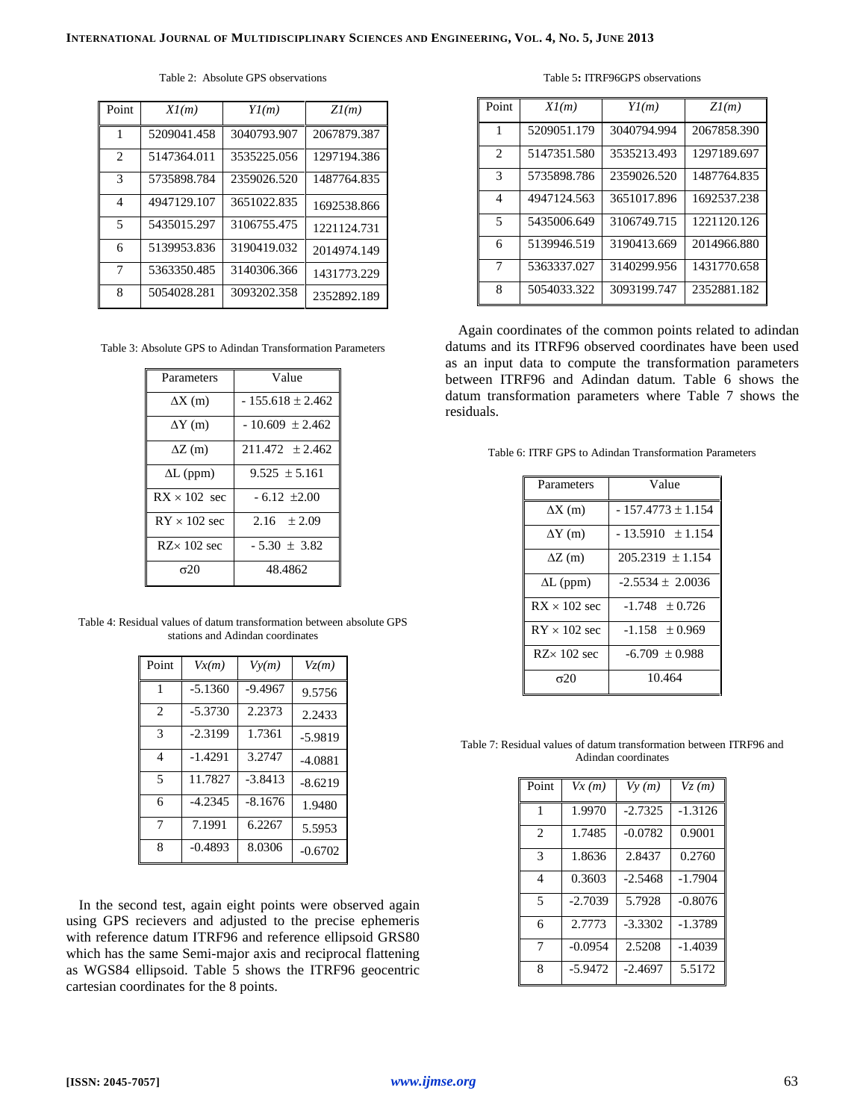| Point                         | Xl(m)       | Yl(m)       | Zl(m)       |
|-------------------------------|-------------|-------------|-------------|
| 1                             | 5209041.458 | 3040793.907 | 2067879.387 |
| $\mathfrak{D}_{\mathfrak{p}}$ | 5147364.011 | 3535225.056 | 1297194.386 |
| 3                             | 5735898.784 | 2359026.520 | 1487764.835 |
| 4                             | 4947129.107 | 3651022.835 | 1692538.866 |
| $\overline{\mathcal{L}}$      | 5435015.297 | 3106755.475 | 1221124.731 |
| 6                             | 5139953.836 | 3190419.032 | 2014974.149 |
| 7                             | 5363350.485 | 3140306.366 | 1431773.229 |
| 8                             | 5054028.281 | 3093202.358 | 2352892.189 |

Table 2: Absolute GPS observations

Table 3: Absolute GPS to Adindan Transformation Parameters

| Parameters          | Value                |  |
|---------------------|----------------------|--|
|                     |                      |  |
| $\Delta X$ (m)      | $-155.618 \pm 2.462$ |  |
|                     |                      |  |
| $\Delta Y$ (m)      | $-10.609 \pm 2.462$  |  |
| $\Delta Z$ (m)      | $211.472 \pm 2.462$  |  |
|                     |                      |  |
| $\Delta L$ (ppm)    | $9.525 \pm 5.161$    |  |
|                     |                      |  |
| $RX \times 102$ sec | $-6.12 \pm 2.00$     |  |
|                     |                      |  |
| $RY \times 102$ sec | 2.16 $\pm 2.09$      |  |
|                     |                      |  |
| $RZ \times 102$ sec | $-5.30 \pm 3.82$     |  |
|                     |                      |  |
| $\sigma$ 20         | 48.4862              |  |
|                     |                      |  |

Table 4: Residual values of datum transformation between absolute GPS stations and Adindan coordinates

| Point          | Vx(m)     | Vy(m)     | $V_{\mathcal{Z}}(m)$ |
|----------------|-----------|-----------|----------------------|
| 1              | $-5.1360$ | $-9.4967$ | 9.5756               |
| $\mathfrak{D}$ | $-5.3730$ | 2.2373    | 2.2433               |
| 3              | $-2.3199$ | 1.7361    | $-5.9819$            |
| 4              | $-1.4291$ | 3.2747    | $-4.0881$            |
| $\overline{5}$ | 11.7827   | $-3.8413$ | $-8.6219$            |
| 6              | $-4.2345$ | $-8.1676$ | 1.9480               |
| 7              | 7.1991    | 6.2267    | 5.5953               |
| 8              | $-0.4893$ | 8.0306    | $-0.6702$            |

In the second test, again eight points were observed again using GPS recievers and adjusted to the precise ephemeris with reference datum ITRF96 and reference ellipsoid GRS80 which has the same Semi-major axis and reciprocal flattening as WGS84 ellipsoid. Table 5 shows the ITRF96 geocentric cartesian coordinates for the 8 points.

Table 5**:** ITRF96GPS observations

| Point                       | Xl(m)       | Yl(m)       | Zl(m)       |
|-----------------------------|-------------|-------------|-------------|
|                             | 5209051.179 | 3040794.994 | 2067858.390 |
| $\mathcal{D}_{\mathcal{L}}$ | 5147351.580 | 3535213.493 | 1297189.697 |
| $\mathcal{R}$               | 5735898.786 | 2359026.520 | 1487764.835 |
| $\overline{\mathcal{A}}$    | 4947124.563 | 3651017.896 | 1692537.238 |
| $\overline{\mathcal{L}}$    | 5435006.649 | 3106749.715 | 1221120.126 |
| 6                           | 5139946.519 | 3190413.669 | 2014966.880 |
| 7                           | 5363337.027 | 3140299.956 | 1431770.658 |
| 8                           | 5054033.322 | 3093199.747 | 2352881.182 |

Again coordinates of the common points related to adindan datums and its ITRF96 observed coordinates have been used as an input data to compute the transformation parameters between ITRF96 and Adindan datum. Table 6 shows the datum transformation parameters where Table 7 shows the residuals.

Table 6: ITRF GPS to Adindan Transformation Parameters

| Parameters          | Value                 |  |
|---------------------|-----------------------|--|
| $\Delta X$ (m)      | $-157.4773 \pm 1.154$ |  |
| $\Delta Y$ (m)      | $-13.5910 \pm 1.154$  |  |
| $\Delta Z$ (m)      | $205.2319 \pm 1.154$  |  |
| $\Delta L$ (ppm)    | $-2.5534 \pm 2.0036$  |  |
| $RX \times 102$ sec | $-1.748 \pm 0.726$    |  |
| $RY \times 102$ sec | $-1.158 \pm 0.969$    |  |
| $RZ \times 102$ sec | $-6.709 \pm 0.988$    |  |
| $\sigma$ 20         | 10.464                |  |

Table 7: Residual values of datum transformation between ITRF96 and Adindan coordinates

| Point                    | Vx(m)     | Vy(m)     | Vz(m)     |
|--------------------------|-----------|-----------|-----------|
| 1                        | 1.9970    | $-2.7325$ | $-1.3126$ |
| $\mathfrak{D}$           | 1.7485    | $-0.0782$ | 0.9001    |
| 3                        | 1.8636    | 2.8437    | 0.2760    |
| 4                        | 0.3603    | $-2.5468$ | $-1.7904$ |
| $\overline{\phantom{0}}$ | $-2.7039$ | 5.7928    | $-0.8076$ |
| 6                        | 2.7773    | $-3.3302$ | $-1.3789$ |
| 7                        | $-0.0954$ | 2.5208    | $-1.4039$ |
| 8                        | $-5.9472$ | $-2.4697$ | 5.5172    |